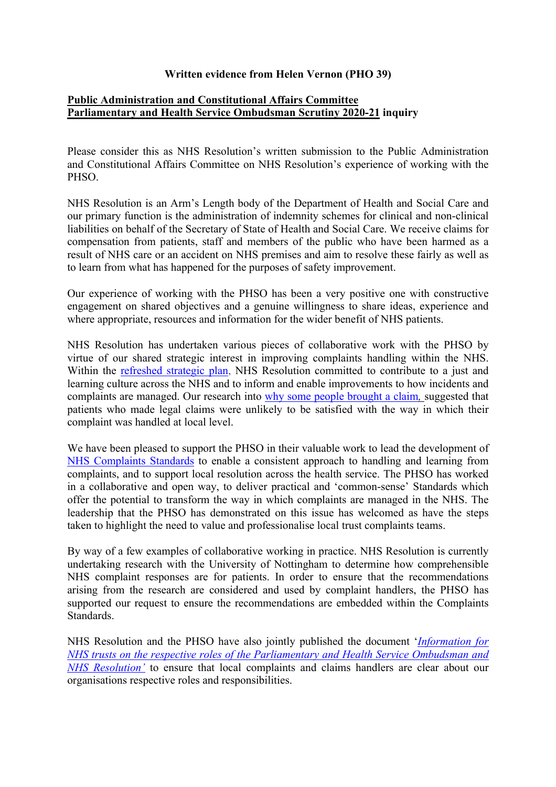## **Written evidence from Helen Vernon (PHO 39)**

## **[Public](https://admin.committees.parliament.uk/Committee/Edit/327) [Administration](https://admin.committees.parliament.uk/Committee/Edit/327) [and](https://admin.committees.parliament.uk/Committee/Edit/327) [Constitutional](https://admin.committees.parliament.uk/Committee/Edit/327) [Affairs](https://admin.committees.parliament.uk/Committee/Edit/327) [Committee](https://admin.committees.parliament.uk/Committee/Edit/327) [Parliamentary](https://admin.committees.parliament.uk/Committee/327/CommitteeBusiness/Edit/1503) [and](https://admin.committees.parliament.uk/Committee/327/CommitteeBusiness/Edit/1503) [Health](https://admin.committees.parliament.uk/Committee/327/CommitteeBusiness/Edit/1503) [Service](https://admin.committees.parliament.uk/Committee/327/CommitteeBusiness/Edit/1503) [Ombudsman](https://admin.committees.parliament.uk/Committee/327/CommitteeBusiness/Edit/1503) [Scrutiny](https://admin.committees.parliament.uk/Committee/327/CommitteeBusiness/Edit/1503) [2020-21](https://admin.committees.parliament.uk/Committee/327/CommitteeBusiness/Edit/1503) inquiry**

Please consider this as NHS Resolution's written submission to the Public Administration and Constitutional Affairs Committee on NHS Resolution's experience of working with the PHSO.

NHS Resolution is an Arm's Length body of the Department of Health and Social Care and our primary function is the administration of indemnity schemes for clinical and non-clinical liabilities on behalf of the Secretary of State of Health and Social Care. We receive claims for compensation from patients, staff and members of the public who have been harmed as a result of NHS care or an accident on NHS premises and aim to resolve these fairly as well as to learn from what has happened for the purposes of safety improvement.

Our experience of working with the PHSO has been a very positive one with constructive engagement on shared objectives and a genuine willingness to share ideas, experience and where appropriate, resources and information for the wider benefit of NHS patients.

NHS Resolution has undertaken various pieces of collaborative work with the PHSO by virtue of our shared strategic interest in improving complaints handling within the NHS. Within the [refreshed](https://resolution.nhs.uk/wp-content/uploads/2020/02/Our-refreshed-2019-2022-strategic-plan.pdf) [strategic](https://resolution.nhs.uk/wp-content/uploads/2020/02/Our-refreshed-2019-2022-strategic-plan.pdf) [plan](https://resolution.nhs.uk/wp-content/uploads/2020/02/Our-refreshed-2019-2022-strategic-plan.pdf), NHS Resolution committed to contribute to a just and learning culture across the NHS and to inform and enable improvements to how incidents and complaints are managed. Our research into [why](https://resolution.nhs.uk/wp-content/uploads/2018/10/Behavioural-insights-into-patient-motivation-to-make-a-claim-for-clinical-negligence.pdf#:~:text=NHS%20Resolution%20commissioned%20The%20Behavioural%20Insights%20Team%20%28BIT%29,legal%20claims%20for%20compensation%20for%20clinical%20negligence%20%28%E2%80%9Cclaims%E2%80%9D%29.) [some](https://resolution.nhs.uk/wp-content/uploads/2018/10/Behavioural-insights-into-patient-motivation-to-make-a-claim-for-clinical-negligence.pdf#:~:text=NHS%20Resolution%20commissioned%20The%20Behavioural%20Insights%20Team%20%28BIT%29,legal%20claims%20for%20compensation%20for%20clinical%20negligence%20%28%E2%80%9Cclaims%E2%80%9D%29.) [people](https://resolution.nhs.uk/wp-content/uploads/2018/10/Behavioural-insights-into-patient-motivation-to-make-a-claim-for-clinical-negligence.pdf#:~:text=NHS%20Resolution%20commissioned%20The%20Behavioural%20Insights%20Team%20%28BIT%29,legal%20claims%20for%20compensation%20for%20clinical%20negligence%20%28%E2%80%9Cclaims%E2%80%9D%29.) [brought](https://resolution.nhs.uk/wp-content/uploads/2018/10/Behavioural-insights-into-patient-motivation-to-make-a-claim-for-clinical-negligence.pdf#:~:text=NHS%20Resolution%20commissioned%20The%20Behavioural%20Insights%20Team%20%28BIT%29,legal%20claims%20for%20compensation%20for%20clinical%20negligence%20%28%E2%80%9Cclaims%E2%80%9D%29.) [a](https://resolution.nhs.uk/wp-content/uploads/2018/10/Behavioural-insights-into-patient-motivation-to-make-a-claim-for-clinical-negligence.pdf#:~:text=NHS%20Resolution%20commissioned%20The%20Behavioural%20Insights%20Team%20%28BIT%29,legal%20claims%20for%20compensation%20for%20clinical%20negligence%20%28%E2%80%9Cclaims%E2%80%9D%29.) [claim](https://resolution.nhs.uk/wp-content/uploads/2018/10/Behavioural-insights-into-patient-motivation-to-make-a-claim-for-clinical-negligence.pdf#:~:text=NHS%20Resolution%20commissioned%20The%20Behavioural%20Insights%20Team%20%28BIT%29,legal%20claims%20for%20compensation%20for%20clinical%20negligence%20%28%E2%80%9Cclaims%E2%80%9D%29.)*,* suggested that patients who made legal claims were unlikely to be satisfied with the way in which their complaint was handled at local level.

We have been pleased to support the PHSO in their valuable work to lead the development of [NHS](https://www.ombudsman.org.uk/sites/default/files/NHS_Complaint_Standards_Summary_of_expectations_Spring_2021_A.pdf) [Complaints](https://www.ombudsman.org.uk/sites/default/files/NHS_Complaint_Standards_Summary_of_expectations_Spring_2021_A.pdf) [Standards](https://www.ombudsman.org.uk/sites/default/files/NHS_Complaint_Standards_Summary_of_expectations_Spring_2021_A.pdf) to enable a consistent approach to handling and learning from complaints, and to support local resolution across the health service. The PHSO has worked in a collaborative and open way, to deliver practical and 'common-sense' Standards which offer the potential to transform the way in which complaints are managed in the NHS. The leadership that the PHSO has demonstrated on this issue has welcomed as have the steps taken to highlight the need to value and professionalise local trust complaints teams.

By way of a few examples of collaborative working in practice. NHS Resolution is currently undertaking research with the University of Nottingham to determine how comprehensible NHS complaint responses are for patients. In order to ensure that the recommendations arising from the research are considered and used by complaint handlers, the PHSO has supported our request to ensure the recommendations are embedded within the Complaints Standards.

NHS Resolution and the PHSO have also jointly published the document '*[Information](https://resolution.nhs.uk/wp-content/uploads/2019/02/20190131-PHSO-NHS-Resolution-joint-statement-FINAL.pdf) [for](https://resolution.nhs.uk/wp-content/uploads/2019/02/20190131-PHSO-NHS-Resolution-joint-statement-FINAL.pdf) [NHS](https://resolution.nhs.uk/wp-content/uploads/2019/02/20190131-PHSO-NHS-Resolution-joint-statement-FINAL.pdf) [trusts](https://resolution.nhs.uk/wp-content/uploads/2019/02/20190131-PHSO-NHS-Resolution-joint-statement-FINAL.pdf) [on](https://resolution.nhs.uk/wp-content/uploads/2019/02/20190131-PHSO-NHS-Resolution-joint-statement-FINAL.pdf) [the](https://resolution.nhs.uk/wp-content/uploads/2019/02/20190131-PHSO-NHS-Resolution-joint-statement-FINAL.pdf) [respective](https://resolution.nhs.uk/wp-content/uploads/2019/02/20190131-PHSO-NHS-Resolution-joint-statement-FINAL.pdf) [roles](https://resolution.nhs.uk/wp-content/uploads/2019/02/20190131-PHSO-NHS-Resolution-joint-statement-FINAL.pdf) [of](https://resolution.nhs.uk/wp-content/uploads/2019/02/20190131-PHSO-NHS-Resolution-joint-statement-FINAL.pdf) [the](https://resolution.nhs.uk/wp-content/uploads/2019/02/20190131-PHSO-NHS-Resolution-joint-statement-FINAL.pdf) [Parliamentary](https://resolution.nhs.uk/wp-content/uploads/2019/02/20190131-PHSO-NHS-Resolution-joint-statement-FINAL.pdf) [and](https://resolution.nhs.uk/wp-content/uploads/2019/02/20190131-PHSO-NHS-Resolution-joint-statement-FINAL.pdf) [Health](https://resolution.nhs.uk/wp-content/uploads/2019/02/20190131-PHSO-NHS-Resolution-joint-statement-FINAL.pdf) [Service](https://resolution.nhs.uk/wp-content/uploads/2019/02/20190131-PHSO-NHS-Resolution-joint-statement-FINAL.pdf) [Ombudsman](https://resolution.nhs.uk/wp-content/uploads/2019/02/20190131-PHSO-NHS-Resolution-joint-statement-FINAL.pdf) [and](https://resolution.nhs.uk/wp-content/uploads/2019/02/20190131-PHSO-NHS-Resolution-joint-statement-FINAL.pdf) [NHS](https://resolution.nhs.uk/wp-content/uploads/2019/02/20190131-PHSO-NHS-Resolution-joint-statement-FINAL.pdf) [Resolution'](https://resolution.nhs.uk/wp-content/uploads/2019/02/20190131-PHSO-NHS-Resolution-joint-statement-FINAL.pdf)* to ensure that local complaints and claims handlers are clear about our organisations respective roles and responsibilities.